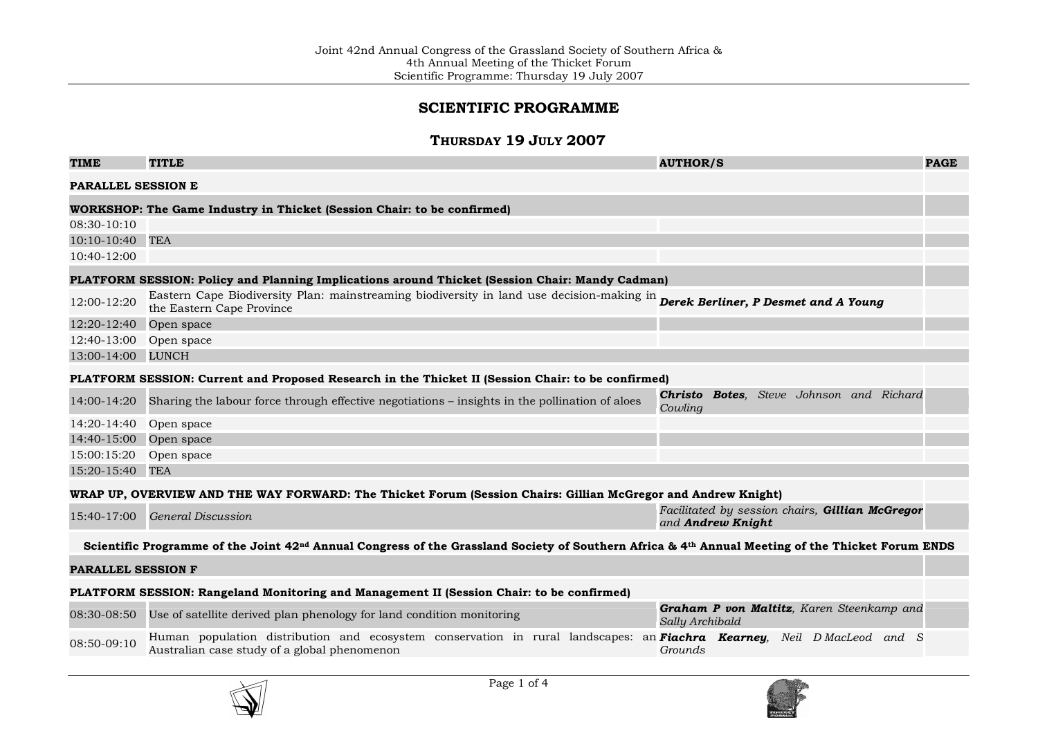## SCIENTIFIC PROGRAMME

### Thursday 19 July 2007

| <b>TIME</b>                                                                                        | <b>TITLE</b>                                                                                                                                                                   | <b>AUTHOR/S</b>                                                             | <b>PAGE</b> |
|----------------------------------------------------------------------------------------------------|--------------------------------------------------------------------------------------------------------------------------------------------------------------------------------|-----------------------------------------------------------------------------|-------------|
| <b>PARALLEL SESSION E</b>                                                                          |                                                                                                                                                                                |                                                                             |             |
|                                                                                                    | WORKSHOP: The Game Industry in Thicket (Session Chair: to be confirmed)                                                                                                        |                                                                             |             |
| 08:30-10:10                                                                                        |                                                                                                                                                                                |                                                                             |             |
| $10:10-10:40$                                                                                      | <b>TEA</b>                                                                                                                                                                     |                                                                             |             |
| $10:40-12:00$                                                                                      |                                                                                                                                                                                |                                                                             |             |
| PLATFORM SESSION: Policy and Planning Implications around Thicket (Session Chair: Mandy Cadman)    |                                                                                                                                                                                |                                                                             |             |
| 12:00-12:20                                                                                        | Eastern Cape Biodiversity Plan: mainstreaming biodiversity in land use decision-making in <b>Derek Berliner, P Desmet and A Young</b><br>the Eastern Cape Province             |                                                                             |             |
| 12:20-12:40                                                                                        | Open space                                                                                                                                                                     |                                                                             |             |
| 12:40-13:00                                                                                        | Open space                                                                                                                                                                     |                                                                             |             |
| 13:00-14:00 LUNCH                                                                                  |                                                                                                                                                                                |                                                                             |             |
| PLATFORM SESSION: Current and Proposed Research in the Thicket II (Session Chair: to be confirmed) |                                                                                                                                                                                |                                                                             |             |
| 14:00-14:20                                                                                        | Sharing the labour force through effective negotiations – insights in the pollination of aloes                                                                                 | Christo Botes, Steve Johnson and Richard<br>Cowling                         |             |
| 14:20-14:40                                                                                        | Open space                                                                                                                                                                     |                                                                             |             |
| 14:40-15:00                                                                                        | Open space                                                                                                                                                                     |                                                                             |             |
| 15:00:15:20                                                                                        | Open space                                                                                                                                                                     |                                                                             |             |
| 15:20-15:40 TEA                                                                                    |                                                                                                                                                                                |                                                                             |             |
|                                                                                                    | WRAP UP, OVERVIEW AND THE WAY FORWARD: The Thicket Forum (Session Chairs: Gillian McGregor and Andrew Knight)                                                                  |                                                                             |             |
|                                                                                                    | 15:40-17:00 General Discussion                                                                                                                                                 | Facilitated by session chairs, Gillian McGregor<br>and <b>Andrew Knight</b> |             |
|                                                                                                    | Scientific Programme of the Joint 42 <sup>nd</sup> Annual Congress of the Grassland Society of Southern Africa & 4 <sup>th</sup> Annual Meeting of the Thicket Forum ENDS      |                                                                             |             |
| <b>PARALLEL SESSION F</b>                                                                          |                                                                                                                                                                                |                                                                             |             |
|                                                                                                    | PLATFORM SESSION: Rangeland Monitoring and Management II (Session Chair: to be confirmed)                                                                                      |                                                                             |             |
|                                                                                                    | 08:30-08:50 Use of satellite derived plan phenology for land condition monitoring                                                                                              | Graham P von Maltitz, Karen Steenkamp and<br>Sally Archibald                |             |
| 08:50-09:10                                                                                        | Human population distribution and ecosystem conservation in rural landscapes: an <b>Fiachra Kearney</b> , Neil D MacLeod and S<br>Australian case study of a global phenomenon | Grounds                                                                     |             |



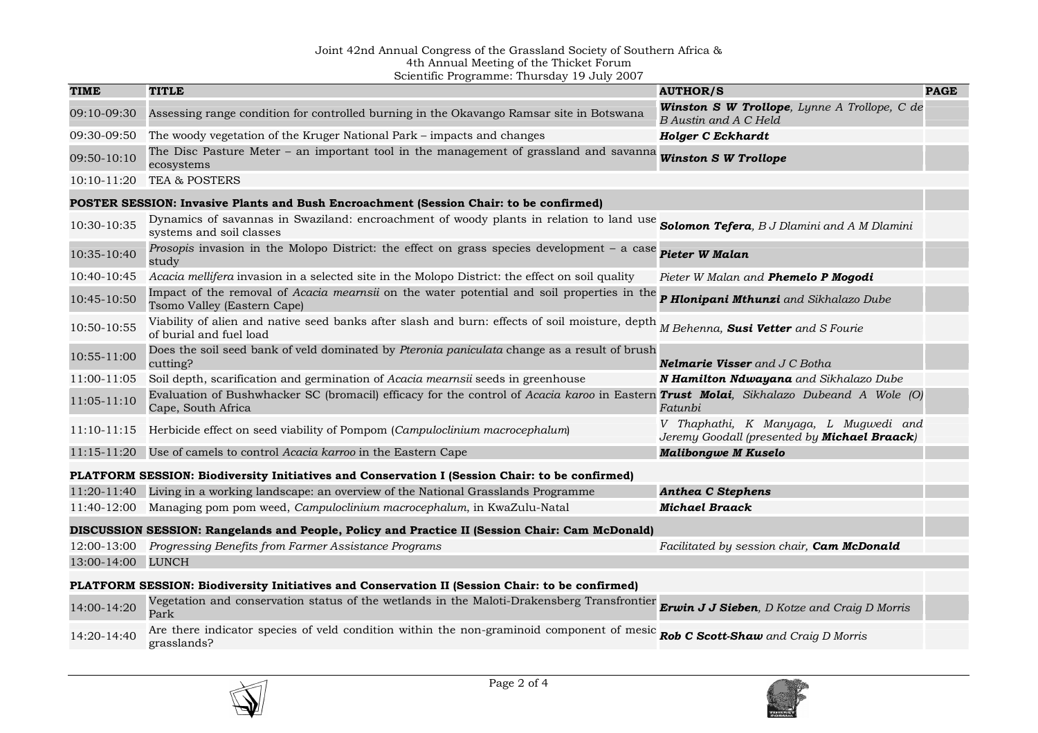# Joint 42nd Annual Congress of the Grassland Society of Southern Africa & 4th Annual Meeting of the Thicket Forum Scientific Programme: Thursday 19 July 2007

| <b>TIME</b>       | $\sim$ . The standard state of $\sim$ 110 $\sim$ 0.000 $\sim$<br><b>TITLE</b>                                                                                           | <b>AUTHOR/S</b>                                                                       | <b>PAGE</b> |
|-------------------|-------------------------------------------------------------------------------------------------------------------------------------------------------------------------|---------------------------------------------------------------------------------------|-------------|
| 09:10-09:30       | Assessing range condition for controlled burning in the Okavango Ramsar site in Botswana                                                                                | Winston S W Trollope, Lynne A Trollope, C de<br>B Austin and A C Held                 |             |
| 09:30-09:50       | The woody vegetation of the Kruger National Park – impacts and changes                                                                                                  | <b>Holger C Eckhardt</b>                                                              |             |
| 09:50-10:10       | The Disc Pasture Meter – an important tool in the management of grassland and savanna <i>Winston S W Trollope</i><br>ecosystems                                         |                                                                                       |             |
| $10:10-11:20$     | <b>TEA &amp; POSTERS</b>                                                                                                                                                |                                                                                       |             |
|                   | POSTER SESSION: Invasive Plants and Bush Encroachment (Session Chair: to be confirmed)                                                                                  |                                                                                       |             |
| 10:30-10:35       | Dynamics of savannas in Swaziland: encroachment of woody plants in relation to land use Solomon Tefera, B J Dlamini and A M Dlamini<br>systems and soil classes         |                                                                                       |             |
| 10:35-10:40       | Prosopis invasion in the Molopo District: the effect on grass species development - a case<br>study                                                                     | Pieter W Malan                                                                        |             |
| 10:40-10:45       | Acacia mellifera invasion in a selected site in the Molopo District: the effect on soil quality                                                                         | Pieter W Malan and Phemelo P Mogodi                                                   |             |
| 10:45-10:50       | Impact of the removal of Acacia mearnsii on the water potential and soil properties in the <b>P Hlonipani Mthunzi</b> and Sikhalazo Dube<br>Tsomo Valley (Eastern Cape) |                                                                                       |             |
| 10:50-10:55       | Viability of alien and native seed banks after slash and burn: effects of soil moisture, depth<br>of burial and fuel load                                               | M Behenna, Susi Vetter and S Fourie                                                   |             |
| 10:55-11:00       | Does the soil seed bank of veld dominated by Pteronia paniculata change as a result of brush<br>cutting?                                                                | <b>Nelmarie Visser</b> and J C Botha                                                  |             |
| 11:00-11:05       | Soil depth, scarification and germination of Acacia mearnsii seeds in greenhouse                                                                                        | N Hamilton Ndwayana and Sikhalazo Dube                                                |             |
| 11:05-11:10       | Evaluation of Bushwhacker SC (bromacil) efficacy for the control of Acacia karoo in Eastern Trust Molai, Sikhalazo Dubeand A Wole (O)<br>Cape, South Africa             | Fatunbi                                                                               |             |
| 11:10-11:15       | Herbicide effect on seed viability of Pompom (Campuloclinium macrocephalum)                                                                                             | V Thaphathi, K Manyaga, L Mugwedi and<br>Jeremy Goodall (presented by Michael Braack) |             |
| 11:15-11:20       | Use of camels to control Acacia karroo in the Eastern Cape                                                                                                              | <b>Malibongwe M Kuselo</b>                                                            |             |
|                   | PLATFORM SESSION: Biodiversity Initiatives and Conservation I (Session Chair: to be confirmed)                                                                          |                                                                                       |             |
|                   | 11:20-11:40 Living in a working landscape: an overview of the National Grasslands Programme                                                                             | <b>Anthea C Stephens</b>                                                              |             |
| 11:40-12:00       | Managing pom pom weed, Campuloclinium macrocephalum, in KwaZulu-Natal                                                                                                   | <b>Michael Braack</b>                                                                 |             |
|                   | DISCUSSION SESSION: Rangelands and People, Policy and Practice II (Session Chair: Cam McDonald)                                                                         |                                                                                       |             |
| 12:00-13:00       | Progressing Benefits from Farmer Assistance Programs                                                                                                                    | Facilitated by session chair, Cam McDonald                                            |             |
| 13:00-14:00 LUNCH |                                                                                                                                                                         |                                                                                       |             |
|                   | PLATFORM SESSION: Biodiversity Initiatives and Conservation II (Session Chair: to be confirmed)                                                                         |                                                                                       |             |
| 14:00-14:20       | Vegetation and conservation status of the wetlands in the Maloti-Drakensberg Transfrontier Erwin J J Sieben, D Kotze and Craig D Morris<br>Park                         |                                                                                       |             |
| 14:20-14:40       | Are there indicator species of veld condition within the non-graminoid component of mesic Rob C Scott-Shaw and Craig D Morris<br>grasslands?                            |                                                                                       |             |



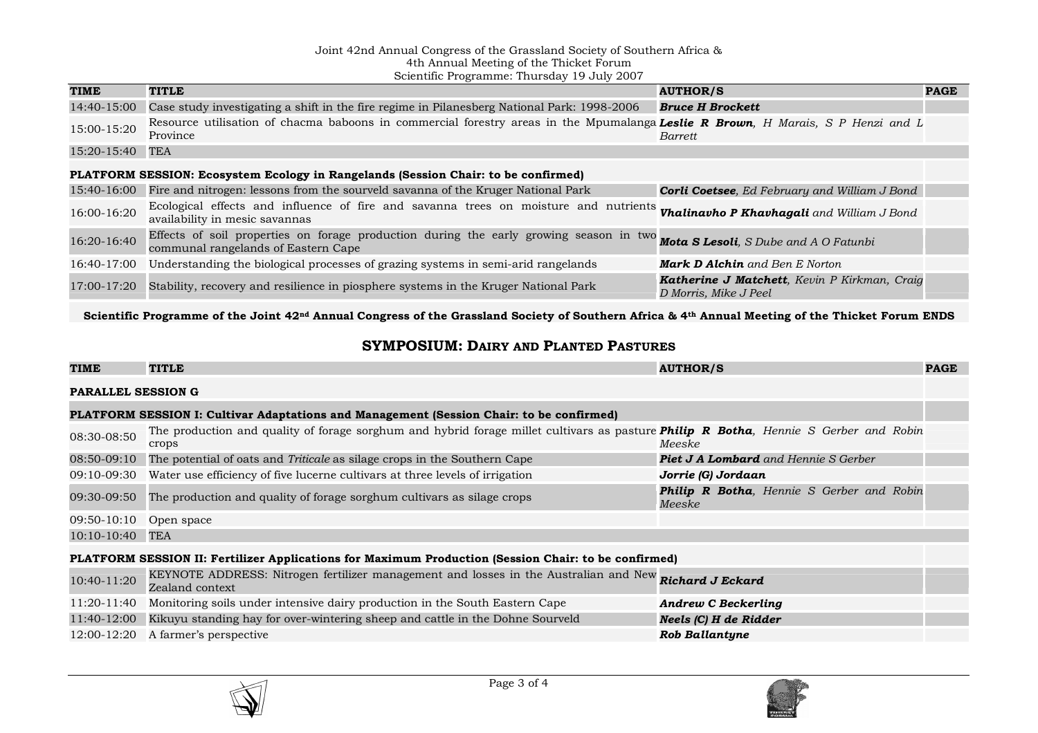### Joint 42nd Annual Congress of the Grassland Society of Southern Africa &

4th Annual Meeting of the Thicket Forum Scientific Programme: Thursday 19 July 2007

| <b>TIME</b> | <b>TITLE</b>                                                                                                                                                             | <b>AUTHOR/S</b>                                                       | <b>PAGE</b> |
|-------------|--------------------------------------------------------------------------------------------------------------------------------------------------------------------------|-----------------------------------------------------------------------|-------------|
| 14:40-15:00 | Case study investigating a shift in the fire regime in Pilanesberg National Park: 1998-2006                                                                              | <b>Bruce H Brockett</b>                                               |             |
| 15:00-15:20 | Resource utilisation of chacma baboons in commercial forestry areas in the Mpumalanga Leslie R Brown, H Marais, S P Henzi and L<br>Province                              | Barrett                                                               |             |
| 15:20-15:40 | TEA                                                                                                                                                                      |                                                                       |             |
|             | PLATFORM SESSION: Ecosystem Ecology in Rangelands (Session Chair: to be confirmed)                                                                                       |                                                                       |             |
| 15:40-16:00 | Fire and nitrogen: lessons from the sourveld savanna of the Kruger National Park                                                                                         | <b>Corli Coetsee</b> , Ed February and William J Bond                 |             |
| 16:00-16:20 | Ecological effects and influence of fire and savanna trees on moisture and nutrients <i>Vhalinavho P Khavhagali and William J Bond</i><br>availability in mesic savannas |                                                                       |             |
| 16:20-16:40 | Effects of soil properties on forage production during the early growing season in two Mota S Lesoli, S Dube and A O Fatunbi<br>communal rangelands of Eastern Cape      |                                                                       |             |
| 16:40-17:00 | Understanding the biological processes of grazing systems in semi-arid rangelands                                                                                        | <b>Mark D Alchin</b> and Ben E Norton                                 |             |
| 17:00-17:20 | Stability, recovery and resilience in piosphere systems in the Kruger National Park                                                                                      | Katherine J Matchett, Kevin P Kirkman, Craig<br>D Morris, Mike J Peel |             |

Scientific Programme of the Joint 42nd Annual Congress of the Grassland Society of Southern Africa & 4th Annual Meeting of the Thicket Forum ENDS

#### SYMPOSIUM:DAIRY AND PLANTED PASTURES

| <b>TIME</b>                                                                                          | <b>TITLE</b>                                                                                                                                  | <b>AUTHOR/S</b>                                     | <b>PAGE</b> |
|------------------------------------------------------------------------------------------------------|-----------------------------------------------------------------------------------------------------------------------------------------------|-----------------------------------------------------|-------------|
| <b>PARALLEL SESSION G</b>                                                                            |                                                                                                                                               |                                                     |             |
| <b>PLATFORM SESSION I: Cultivar Adaptations and Management (Session Chair: to be confirmed)</b>      |                                                                                                                                               |                                                     |             |
| 08:30-08:50                                                                                          | The production and quality of forage sorghum and hybrid forage millet cultivars as pasture Philip R Botha, Hennie S Gerber and Robin<br>crops | Meeske                                              |             |
| 08:50-09:10                                                                                          | The potential of oats and <i>Triticale</i> as silage crops in the Southern Cape                                                               | <b>Piet J A Lombard</b> and Hennie S Gerber         |             |
| 09:10-09:30                                                                                          | Water use efficiency of five lucerne cultivars at three levels of irrigation                                                                  | Jorrie (G) Jordaan                                  |             |
| 09:30-09:50                                                                                          | The production and quality of forage sorghum cultivars as silage crops                                                                        | Philip R Botha, Hennie S Gerber and Robin<br>Meeske |             |
| 09:50-10:10                                                                                          | Open space                                                                                                                                    |                                                     |             |
| $10:10-10:40$                                                                                        | <b>TEA</b>                                                                                                                                    |                                                     |             |
| PLATFORM SESSION II: Fertilizer Applications for Maximum Production (Session Chair: to be confirmed) |                                                                                                                                               |                                                     |             |
| $10:40-11:20$                                                                                        | KEYNOTE ADDRESS: Nitrogen fertilizer management and losses in the Australian and New Richard J Eckard<br>Zealand context                      |                                                     |             |
| 11:20-11:40                                                                                          | Monitoring soils under intensive dairy production in the South Eastern Cape                                                                   | <b>Andrew C Beckerling</b>                          |             |
| 11:40-12:00                                                                                          | Kikuyu standing hay for over-wintering sheep and cattle in the Dohne Sourveld                                                                 | Neels (C) H de Ridder                               |             |
| 12:00-12:20                                                                                          | A farmer's perspective                                                                                                                        | Rob Ballantyne                                      |             |
|                                                                                                      |                                                                                                                                               |                                                     |             |